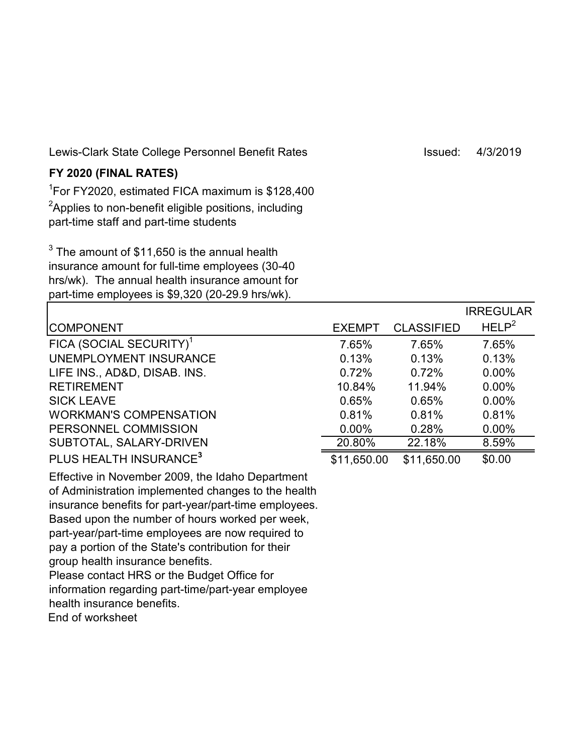Lewis-Clark State College Personnel Benefit Rates International States Issued: 4/3/2019

## **FY 2020 (FINAL RATES)**

1 For FY2020, estimated FICA maximum is \$128,400  $^2$ Applies to non-benefit eligible positions, including part-time staff and part-time students

 $^3$  The amount of  $$11,650$  is the annual health insurance amount for full-time employees (30-40 hrs/wk). The annual health insurance amount for part-time employees is \$9,320 (20-29.9 hrs/wk).

|                                     |               |                   | <b>IRREGULAR</b>  |
|-------------------------------------|---------------|-------------------|-------------------|
| <b>COMPONENT</b>                    | <b>EXEMPT</b> | <b>CLASSIFIED</b> | HELP <sup>2</sup> |
| FICA (SOCIAL SECURITY) <sup>1</sup> | 7.65%         | 7.65%             | 7.65%             |
| <b>UNEMPLOYMENT INSURANCE</b>       | 0.13%         | 0.13%             | 0.13%             |
| LIFE INS., AD&D, DISAB. INS.        | 0.72%         | 0.72%             | $0.00\%$          |
| <b>RETIREMENT</b>                   | 10.84%        | 11.94%            | $0.00\%$          |
| <b>SICK LEAVE</b>                   | 0.65%         | 0.65%             | $0.00\%$          |
| <b>WORKMAN'S COMPENSATION</b>       | 0.81%         | 0.81%             | 0.81%             |
| PERSONNEL COMMISSION                | $0.00\%$      | 0.28%             | $0.00\%$          |
| SUBTOTAL, SALARY-DRIVEN             | 20.80%        | 22.18%            | 8.59%             |
| PLUS HEALTH INSURANCE <sup>3</sup>  | \$11,650.00   | \$11,650.00       | \$0.00            |

Effective in November 2009, the Idaho Department of Administration implemented changes to the health insurance benefits for part-year/part-time employees. Based upon the number of hours worked per week, part-year/part-time employees are now required to pay a portion of the State's contribution for their group health insurance benefits. Please contact HRS or the Budget Office for information regarding part-time/part-year employee health insurance benefits. End of worksheet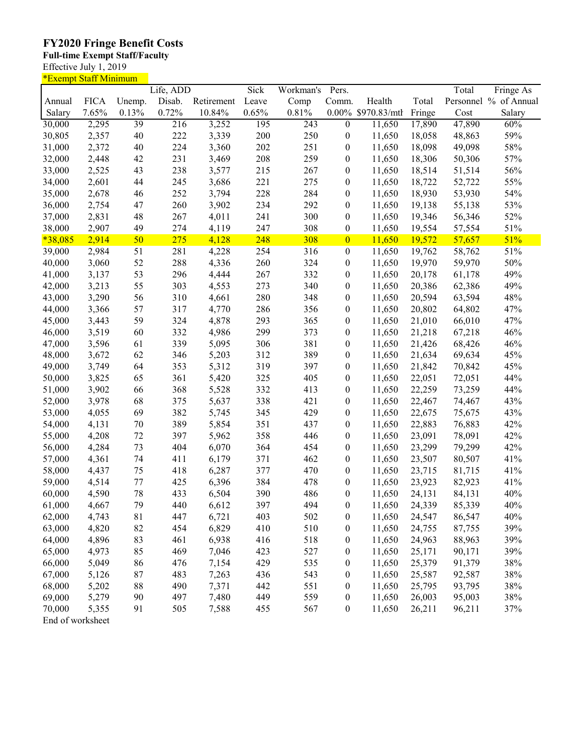## **FY2020 Fringe Benefit Costs**

## **Full-time Exempt Staff/Faculty**

Effective July 1, 2019

| <u>*Exempt Staff Minimum</u> |                  |          |            |            |       |            |                  |                    |                  |        |                       |
|------------------------------|------------------|----------|------------|------------|-------|------------|------------------|--------------------|------------------|--------|-----------------------|
|                              |                  |          | Life, ADD  |            | Sick  | Workman's  | Pers.            |                    |                  | Total  | Fringe As             |
| Annual                       | <b>FICA</b>      | Unemp.   | Disab.     | Retirement | Leave | Comp       | Comm.            | Health             | Total            |        | Personnel % of Annual |
| Salary                       | 7.65%            | 0.13%    | 0.72%      | 10.84%     | 0.65% | 0.81%      |                  | 0.00% \$970.83/mth | Fringe           | Cost   | Salary                |
| 30,000                       | 2,295            | 39       | 216        | 3,252      | 195   | 243        | $\overline{0}$   | 11,650             | 17,890           | 47,890 | 60%                   |
| 30,805                       | 2,357            | 40       | 222        | 3,339      | 200   | 250        | $\boldsymbol{0}$ | 11,650             | 18,058           | 48,863 | 59%                   |
| 31,000                       | 2,372            | 40       | 224        | 3,360      | 202   | 251        | $\boldsymbol{0}$ | 11,650             | 18,098           | 49,098 | 58%                   |
| 32,000                       | 2,448            | 42       | 231        | 3,469      | 208   | 259        | $\boldsymbol{0}$ | 11,650             | 18,306           | 50,306 | 57%                   |
| 33,000                       | 2,525            | 43       | 238        | 3,577      | 215   | 267        | $\boldsymbol{0}$ | 11,650             | 18,514           | 51,514 | 56%                   |
| 34,000                       | 2,601            | 44       | 245        | 3,686      | 221   | 275        | $\boldsymbol{0}$ | 11,650             | 18,722           | 52,722 | 55%                   |
| 35,000                       | 2,678            | 46       | 252        | 3,794      | 228   | 284        | $\boldsymbol{0}$ | 11,650             | 18,930           | 53,930 | 54%                   |
| 36,000                       | 2,754            | 47       | 260        | 3,902      | 234   | 292        | $\boldsymbol{0}$ | 11,650             | 19,138           | 55,138 | 53%                   |
| 37,000                       | 2,831            | 48       | 267        | 4,011      | 241   | 300        | $\boldsymbol{0}$ | 11,650             | 19,346           | 56,346 | 52%                   |
| 38,000                       | 2,907            | 49       | 274        | 4,119      | 247   | 308        | $\boldsymbol{0}$ | 11,650             | 19,554           | 57,554 | 51%                   |
| $*38,085$                    | 2,914            | 50       | 275        | 4,128      | 248   | 308        | $\overline{0}$   |                    | 19,572           | 57,657 | 51%                   |
|                              |                  |          |            |            |       |            |                  | 11,650             |                  |        |                       |
| 39,000                       | 2,984            | 51       | 281        | 4,228      | 254   | 316        | $\boldsymbol{0}$ | 11,650             | 19,762           | 58,762 | 51%                   |
| 40,000                       | 3,060            | 52       | 288        | 4,336      | 260   | 324        | $\boldsymbol{0}$ | 11,650             | 19,970           | 59,970 | 50%                   |
| 41,000                       | 3,137            | 53       | 296        | 4,444      | 267   | 332        | $\boldsymbol{0}$ | 11,650             | 20,178           | 61,178 | 49%                   |
| 42,000                       | 3,213            | 55       | 303        | 4,553      | 273   | 340        | $\boldsymbol{0}$ | 11,650             | 20,386           | 62,386 | 49%                   |
| 43,000                       | 3,290            | 56       | 310        | 4,661      | 280   | 348        | $\boldsymbol{0}$ | 11,650             | 20,594           | 63,594 | 48%                   |
| 44,000                       | 3,366            | 57       | 317        | 4,770      | 286   | 356        | $\boldsymbol{0}$ | 11,650             | 20,802           | 64,802 | 47%                   |
| 45,000                       | 3,443            | 59       | 324        | 4,878      | 293   | 365        | $\boldsymbol{0}$ | 11,650             | 21,010           | 66,010 | 47%                   |
| 46,000                       | 3,519            | 60       | 332        | 4,986      | 299   | 373        | $\boldsymbol{0}$ | 11,650             | 21,218           | 67,218 | 46%                   |
| 47,000                       | 3,596            | 61       | 339        | 5,095      | 306   | 381        | $\boldsymbol{0}$ | 11,650             | 21,426           | 68,426 | 46%                   |
| 48,000                       | 3,672            | 62       | 346        | 5,203      | 312   | 389        | $\boldsymbol{0}$ | 11,650             | 21,634           | 69,634 | 45%                   |
| 49,000                       | 3,749            | 64       | 353        | 5,312      | 319   | 397        | $\boldsymbol{0}$ | 11,650             | 21,842           | 70,842 | 45%                   |
| 50,000                       | 3,825            | 65       | 361        | 5,420      | 325   | 405        | $\boldsymbol{0}$ | 11,650             | 22,051           | 72,051 | 44%                   |
| 51,000                       | 3,902            | 66       | 368        | 5,528      | 332   | 413        | $\boldsymbol{0}$ | 11,650             | 22,259           | 73,259 | 44%                   |
| 52,000                       | 3,978            | 68       | 375        | 5,637      | 338   | 421        | $\boldsymbol{0}$ | 11,650             | 22,467           | 74,467 | 43%                   |
| 53,000                       | 4,055            | 69       | 382        | 5,745      | 345   | 429        | $\boldsymbol{0}$ | 11,650             | 22,675           | 75,675 | 43%                   |
| 54,000                       | 4,131            | 70       | 389        | 5,854      | 351   | 437        | $\boldsymbol{0}$ | 11,650             | 22,883           | 76,883 | 42%                   |
| 55,000                       | 4,208            | 72       | 397        | 5,962      | 358   | 446        | $\boldsymbol{0}$ | 11,650             | 23,091           | 78,091 | 42%                   |
| 56,000                       | 4,284            | 73       | 404        | 6,070      | 364   | 454        | $\boldsymbol{0}$ | 11,650             | 23,299           | 79,299 | 42%                   |
| 57,000                       | 4,361            | 74       | 411        | 6,179      | 371   | 462        | $\boldsymbol{0}$ | 11,650             | 23,507           | 80,507 | 41%                   |
| 58,000                       | 4,437            | 75       | 418        | 6,287      | 377   | 470        | $\boldsymbol{0}$ | 11,650             | 23,715           | 81,715 | 41%                   |
| 59,000                       | 4,514            | 77       | 425        | 6,396      | 384   | 478        | $\boldsymbol{0}$ | 11,650             | 23,923           | 82,923 | 41%                   |
| 60,000                       | 4,590            | 78       | 433        | 6,504      | 390   | 486        | $\boldsymbol{0}$ | 11,650             | 24,131           | 84,131 | 40%                   |
| 61,000                       | 4,667            | 79       | 440        | 6,612      | 397   | 494        | $\boldsymbol{0}$ | 11,650             | 24,339           | 85,339 | 40%                   |
| 62,000                       | 4,743            | 81       | 447        | 6,721      | 403   | 502        | 0                | 11,650             | 24,547           | 86,547 | 40%                   |
| 63,000                       | 4,820            | 82       | 454        | 6,829      | 410   | 510        | $\boldsymbol{0}$ | 11,650             | 24,755           | 87,755 | 39%                   |
| 64,000                       | 4,896            | 83       | 461        | 6,938      | 416   | 518        | $\boldsymbol{0}$ | 11,650             | 24,963           | 88,963 | 39%                   |
| 65,000                       | 4,973            | 85       | 469        | 7,046      | 423   | 527        | $\boldsymbol{0}$ | 11,650             | 25,171           | 90,171 | 39%                   |
|                              |                  |          |            |            |       |            |                  |                    |                  | 91,379 |                       |
| 66,000                       | 5,049            | 86<br>87 | 476<br>483 | 7,154      | 429   | 535<br>543 | $\boldsymbol{0}$ | 11,650<br>11,650   | 25,379<br>25,587 |        | 38%                   |
| 67,000                       | 5,126            |          |            | 7,263      | 436   |            | $\boldsymbol{0}$ |                    |                  | 92,587 | 38%                   |
| 68,000                       | 5,202            | 88       | 490        | 7,371      | 442   | 551        | 0                | 11,650             | 25,795           | 93,795 | 38%                   |
| 69,000                       | 5,279            | 90       | 497        | 7,480      | 449   | 559        | $\boldsymbol{0}$ | 11,650             | 26,003           | 95,003 | $38\%$                |
| 70,000                       | 5,355            | 91       | 505        | 7,588      | 455   | 567        | $\boldsymbol{0}$ | 11,650             | 26,211           | 96,211 | 37%                   |
|                              | End of worksheet |          |            |            |       |            |                  |                    |                  |        |                       |